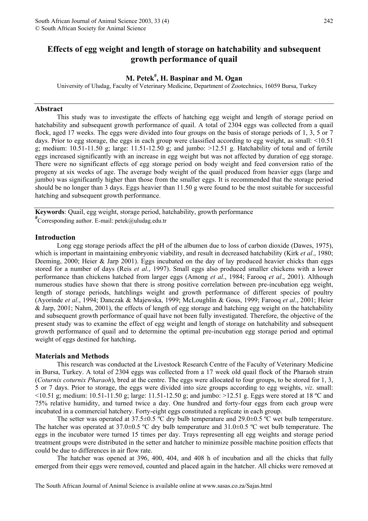# **Effects of egg weight and length of storage on hatchability and subsequent growth performance of quail**

# **M. Petek# , H. Baspinar and M. Ogan**

University of Uludag, Faculty of Veterinary Medicine, Department of Zootechnics, 16059 Bursa, Turkey

#### **Abstract**

This study was to investigate the effects of hatching egg weight and length of storage period on hatchability and subsequent growth performance of quail. A total of 2304 eggs was collected from a quail flock, aged 17 weeks. The eggs were divided into four groups on the basis of storage periods of 1, 3, 5 or 7 days. Prior to egg storage, the eggs in each group were classified according to egg weight, as small: <10.51 g; medium:  $10.51-11.50$  g; large:  $11.51-12.50$  g; and jumbo:  $>12.51$  g. Hatchability of total and of fertile eggs increased significantly with an increase in egg weight but was not affected by duration of egg storage. There were no significant effects of egg storage period on body weight and feed conversion ratio of the progeny at six weeks of age. The average body weight of the quail produced from heavier eggs (large and jumbo) was significantly higher than those from the smaller eggs. It is recommended that the storage period should be no longer than 3 days. Eggs heavier than 11.50 g were found to be the most suitable for successful hatching and subsequent growth performance.

**Keywords**: Quail, egg weight, storage period, hatchability, growth performance **#** Corresponding author. E-mail: petek@uludag.edu.tr

#### **Introduction**

Long egg storage periods affect the pH of the albumen due to loss of carbon dioxide (Dawes, 1975), which is important in maintaining embryonic viability, and result in decreased hatchability (Kirk *et al*., 1980; Deeming, 2000; Heier & Jarp 2001). Eggs incubated on the day of lay produced heavier chicks than eggs stored for a number of days (Reis *et al*., 1997). Small eggs also produced smaller chickens with a lower performance than chickens hatched from larger eggs (Among *et al*., 1984; Farooq *et al*., 2001). Although numerous studies have shown that there is strong positive correlation between pre-incubation egg weight, length of storage periods, hatchlings weight and growth performance of different species of poultry (Ayorinde *et al*., 1994; Danczak & Majewska, 1999; McLoughlin & Gous, 1999; Farooq *et al*., 2001; Heier & Jarp, 2001; Nahm, 2001), the effects of length of egg storage and hatching egg weight on the hatchability and subsequent growth performance of quail have not been fully investigated. Therefore, the objective of the present study was to examine the effect of egg weight and length of storage on hatchability and subsequent growth performance of quail and to determine the optimal pre-incubation egg storage period and optimal weight of eggs destined for hatching**.** 

#### **Materials and Methods**

This research was conducted at the Livestock Research Centre of the Faculty of Veterinary Medicine in Bursa, Turkey. A total of 2304 eggs was collected from a 17 week old quail flock of the Pharaoh strain (*Coturnix coturnix Pharaoh*), bred at the centre. The eggs were allocated to four groups, to be stored for 1, 3, 5 or 7 days. Prior to storage, the eggs were divided into size groups according to egg weights, *viz*. small:  $\leq$ 10.51 g; medium: 10.51-11.50 g; large: 11.51-12.50 g; and jumbo:  $\geq$ 12.51 g. Eggs were stored at 18 °C and 75% relative humidity, and turned twice a day. One hundred and forty-four eggs from each group were incubated in a commercial hatchery. Forty-eight eggs constituted a replicate in each group.

The setter was operated at 37.5±0.5 °C dry bulb temperature and 29.0±0.5 °C wet bulb temperature. The hatcher was operated at 37.0±0.5 ºC dry bulb temperature and 31.0±0.5 ºC wet bulb temperature. The eggs in the incubator were turned 15 times per day. Trays representing all egg weights and storage period treatment groups were distributed in the setter and hatcher to minimize possible machine position effects that could be due to differences in air flow rate.

The hatcher was opened at 396, 400, 404, and 408 h of incubation and all the chicks that fully emerged from their eggs were removed, counted and placed again in the hatcher. All chicks were removed at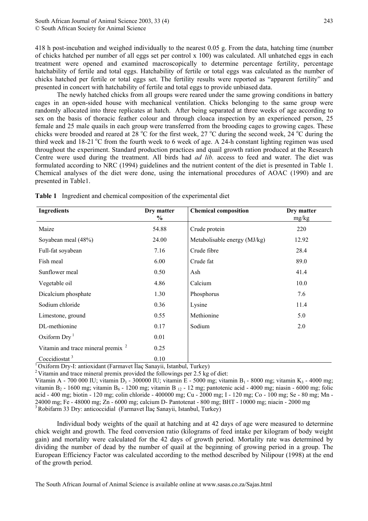418 h post-incubation and weighed individually to the nearest 0.05 g. From the data, hatching time (number of chicks hatched per number of all eggs set per control x 100) was calculated. All unhatched eggs in each treatment were opened and examined macroscopically to determine percentage fertility, percentage hatchability of fertile and total eggs. Hatchability of fertile or total eggs was calculated as the number of chicks hatched per fertile or total eggs set. The fertility results were reported as "apparent fertility" and presented in concert with hatchability of fertile and total eggs to provide unbiased data.

The newly hatched chicks from all groups were reared under the same growing conditions in battery cages in an open-sided house with mechanical ventilation. Chicks belonging to the same group were randomly allocated into three replicates at hatch. After being separated at three weeks of age according to sex on the basis of thoracic feather colour and through cloaca inspection by an experienced person, 25 female and 25 male quails in each group were transferred from the brooding cages to growing cages. These chicks were brooded and reared at 28  $\rm{^{\circ}C}$  for the first week, 27  $\rm{^{\circ}C}$  during the second week, 24  $\rm{^{\circ}C}$  during the third week and  $18-21$  °C from the fourth week to 6 week of age. A 24-h constant lighting regimen was used throughout the experiment. Standard production practices and quail growth ration produced at the Research Centre were used during the treatment. All birds had *ad lib.* access to feed and water. The diet was formulated according to NRC (1994) guidelines and the nutrient content of the diet is presented in Table 1. Chemical analyses of the diet were done, using the international procedures of AOAC (1990) and are presented in Table1.

| <b>Ingredients</b>                            | Dry matter<br>$\%$ | <b>Chemical composition</b>  | Dry matter<br>mg/kg |  |
|-----------------------------------------------|--------------------|------------------------------|---------------------|--|
| Maize                                         | 54.88              | Crude protein                | 220                 |  |
| Soyabean meal (48%)                           | 24.00              | Metabolisable energy (MJ/kg) | 12.92               |  |
| Full-fat soyabean                             | 7.16               | Crude fibre                  | 28.4                |  |
| Fish meal                                     | 6.00               | Crude fat                    | 89.0                |  |
| Sunflower meal                                | 0.50               | Ash                          | 41.4                |  |
| Vegetable oil                                 | 4.86               | Calcium                      | 10.0                |  |
| Dicalcium phosphate                           | 1.30               | Phosphorus                   | 7.6                 |  |
| Sodium chloride                               | 0.36               | Lysine                       | 11.4                |  |
| Limestone, ground                             | 0.55               | Methionine                   | 5.0                 |  |
| DL-methionine                                 | 0.17               | Sodium                       | 2.0                 |  |
| Oxiform $Dry1$                                | 0.01               |                              |                     |  |
| Vitamin and trace mineral premix <sup>2</sup> | 0.25               |                              |                     |  |
| Coccidiostat <sup>3</sup>                     | 0.10               |                              |                     |  |

**Table 1** Ingredient and chemical composition of the experimental diet

<sup>1</sup> Oxiform Dry-I: antioxidant (Farmavet İlaç Sanayii, Istanbul, Turkey)<sup>2</sup> Vitamin and trace mineral premix provided the followings per 2.5 kg of diet:

Vitamin A - 700 000 IU; vitamin D<sub>3</sub> - 300000 IU; vitamin E - 5000 mg; vitamin B<sub>1</sub> - 8000 mg; vitamin K<sub>3</sub> - 4000 mg; vitamin B<sub>2</sub> - 1600 mg; vitamin B<sub>6</sub> - 1200 mg; vitamin B<sub>12</sub> - 12 mg; pantotenic acid - 4000 mg; niasin - 6000 mg; folic acid - 400 mg; biotin - 120 mg; colin chloride - 400000 mg; Cu - 2000 mg; I - 120 mg; Co - 100 mg; Se - 80 mg; Mn - 24000 mg; Fe - 48000 mg; Zn - 6000 mg; calcium D- Pantotenat - 800 mg; BHT - 10000 mg; niacin - 2000 mg 3 Robifarm 33 Dry: anticoccidial (Farmavet <sup>İ</sup>laç Sanayii, Istanbul, Turkey)

Individual body weights of the quail at hatching and at 42 days of age were measured to determine chick weight and growth. The feed conversion ratio (kilograms of feed intake per kilogram of body weight gain) and mortality were calculated for the 42 days of growth period. Mortality rate was determined by dividing the number of dead by the number of quail at the beginning of growing period in a group. The European Efficiency Factor was calculated according to the method described by Nilipour (1998) at the end of the growth period.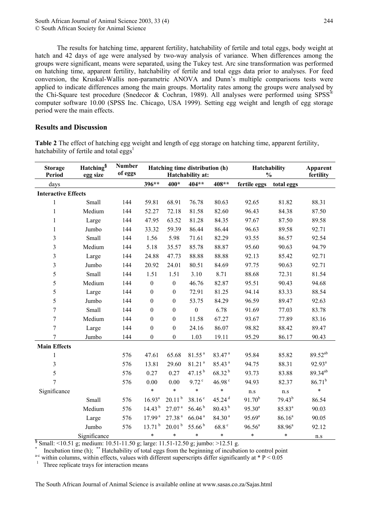The results for hatching time, apparent fertility, hatchability of fertile and total eggs, body weight at hatch and 42 days of age were analysed by two-way analysis of variance. When differences among the groups were significant, means were separated, using the Tukey test. Arc sine transformation was performed on hatching time, apparent fertility, hatchability of fertile and total eggs data prior to analyses. For feed conversion, the Kruskal-Wallis non-parametric ANOVA and Dunn's multiple comparisons tests were applied to indicate differences among the main groups. Mortality rates among the groups were analysed by the Chi-Square test procedure (Snedecor & Cochran, 1989). All analyses were performed using  $SPSS^{\circledast}$ computer software 10.00 (SPSS Inc. Chicago, USA 1999). Setting egg weight and length of egg storage period were the main effects.

## **Results and Discussion**

**Table 2** The effect of hatching egg weight and length of egg storage on hatching time, apparent fertility, hatchability of fertile and total eggs<sup>1</sup>

| <b>Storage</b><br>Period   | Hatching <sup>§</sup><br>egg size | Number<br>of eggs | Hatching time distribution (h)<br>Hatchability at: |                    |                     | Hatchability<br>$\frac{0}{0}$ | Apparent<br>fertility |                    |                     |
|----------------------------|-----------------------------------|-------------------|----------------------------------------------------|--------------------|---------------------|-------------------------------|-----------------------|--------------------|---------------------|
| days                       |                                   |                   | 396**                                              | 400*               | 404**               | 408**                         | fertile eggs          | total eggs         |                     |
| <b>Interactive Effects</b> |                                   |                   |                                                    |                    |                     |                               |                       |                    |                     |
| $\mathbf{1}$               | Small                             | 144               | 59.81                                              | 68.91              | 76.78               | 80.63                         | 92.65                 | 81.82              | 88.31               |
| $\mathbf{1}$               | Medium                            | 144               | 52.27                                              | 72.18              | 81.58               | 82.60                         | 96.43                 | 84.38              | 87.50               |
| $\mathbf{1}$               | Large                             | 144               | 47.95                                              | 63.52              | 81.28               | 84.35                         | 97.67                 | 87.50              | 89.58               |
| $\mathbf{1}$               | Jumbo                             | 144               | 33.32                                              | 59.39              | 86.44               | 86.44                         | 96.63                 | 89.58              | 92.71               |
| 3                          | Small                             | 144               | 1.56                                               | 5.98               | 71.61               | 82.29                         | 93.55                 | 86.57              | 92.54               |
| 3                          | Medium                            | 144               | 5.18                                               | 35.57              | 85.78               | 88.87                         | 95.60                 | 90.63              | 94.79               |
| 3                          | Large                             | 144               | 24.88                                              | 47.73              | 88.88               | 88.88                         | 92.13                 | 85.42              | 92.71               |
| 3                          | Jumbo                             | 144               | 20.92                                              | 24.01              | 80.51               | 84.69                         | 97.75                 | 90.63              | 92.71               |
| 5                          | Small                             | 144               | 1.51                                               | 1.51               | 3.10                | 8.71                          | 88.68                 | 72.31              | 81.54               |
| 5                          | Medium                            | 144               | $\boldsymbol{0}$                                   | $\boldsymbol{0}$   | 46.76               | 82.87                         | 95.51                 | 90.43              | 94.68               |
| 5                          | Large                             | 144               | $\boldsymbol{0}$                                   | $\boldsymbol{0}$   | 72.91               | 81.25                         | 94.14                 | 83.33              | 88.54               |
| 5                          | Jumbo                             | 144               | $\boldsymbol{0}$                                   | $\boldsymbol{0}$   | 53.75               | 84.29                         | 96.59                 | 89.47              | 92.63               |
| 7                          | Small                             | 144               | $\mathbf{0}$                                       | $\boldsymbol{0}$   | $\boldsymbol{0}$    | 6.78                          | 91.69                 | 77.03              | 83.78               |
| 7                          | Medium                            | 144               | $\boldsymbol{0}$                                   | $\boldsymbol{0}$   | 11.58               | 67.27                         | 93.67                 | 77.89              | 83.16               |
| 7                          | Large                             | 144               | $\boldsymbol{0}$                                   | $\boldsymbol{0}$   | 24.16               | 86.07                         | 98.82                 | 88.42              | 89.47               |
| 7                          | Jumbo                             | 144               | $\boldsymbol{0}$                                   | $\boldsymbol{0}$   | 1.03                | 19.11                         | 95.29                 | 86.17              | 90.43               |
| <b>Main Effects</b>        |                                   |                   |                                                    |                    |                     |                               |                       |                    |                     |
| $\mathbf{1}$               |                                   | 576               | 47.61                                              | 65.68              | 81.55 <sup>a</sup>  | 83.47 <sup>a</sup>            | 95.84                 | 85.82              | 89.52 <sup>ab</sup> |
| $\overline{3}$             |                                   | 576               | 13.81                                              | 29.60              | 81.21 <sup>a</sup>  | 85.43 <sup>a</sup>            | 94.75                 | 88.31              | $92.93^{a}$         |
| 5                          |                                   | 576               | 0.27                                               | 0.27               | $47.15^{b}$         | $68.32^{b}$                   | 93.73                 | 83.88              | 89.34 <sup>ab</sup> |
| 7                          |                                   | 576               | $0.00\,$                                           | $0.00\,$           | $9.72$ <sup>c</sup> | 46.98 <sup>c</sup>            | 94.93                 | 82.37              | $86.71^{b}$         |
| Significance               |                                   |                   | *                                                  | $\ast$             | *                   | *                             | $\rm n.s$             | $\rm n.s$          | $\ast$              |
|                            | Small                             | 576               | $16.93^{a}$                                        | 20.11 <sup>b</sup> | 38.16 <sup>c</sup>  | $45.24$ <sup>d</sup>          | $91.70^{b}$           | $79.43^{b}$        | 86.54               |
|                            | Medium                            | 576               | 14.43 <sup>b</sup>                                 | 27.07 <sup>a</sup> | 56.46 <sup>b</sup>  | 80.43 <sup>b</sup>            | $95.30^{a}$           | 85.83 <sup>a</sup> | 90.03               |
|                            | Large                             | 576               | 17.99 <sup>a</sup>                                 | 27.38 <sup>a</sup> | 66.04 <sup>a</sup>  | 84.30 <sup>a</sup>            | $95.69^{a}$           | 86.16 <sup>a</sup> | 90.05               |
|                            | Jumbo                             | 576               | 13.71 <sup>b</sup>                                 | 20.01 <sup>b</sup> | $55.66^{b}$         | $68.8\,^{\rm c}$              | $96.56^a$             | $88.96^{a}$        | 92.12               |
|                            | Significance                      |                   | *                                                  | *                  | *                   | $\ast$                        | *                     | *                  | n.s                 |

 $\frac{1}{3}$  Small: <10.51 g; medium: 10.51-11.50 g; large: 11.51-12.50 g; jumbo: >12.51 g.

<sup>\*</sup> Incubation time (h); \*\* Hatchability of total eggs from the beginning of incubation to control point <sup>a-c</sup> within columns, within effects, values with different superscripts differ significantly at \* P < 0.05

 $<sup>1</sup>$  Three replicate trays for interaction means</sup>

The South African Journal of Animal Science is available online at www.sasas.co.za/Sajas.html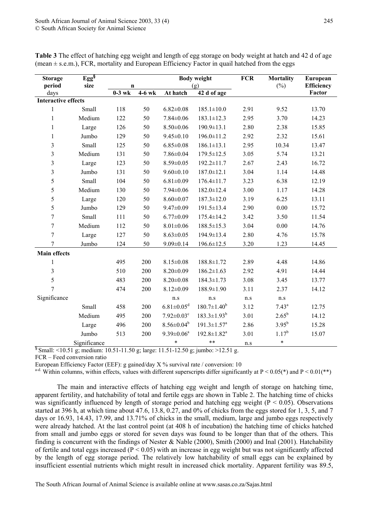| <b>Storage</b>                                                                               | Egg <sup>§</sup> |             | <b>Body weight</b> |                              | <b>FCR</b>                    | <b>Mortality</b> | European       |                   |
|----------------------------------------------------------------------------------------------|------------------|-------------|--------------------|------------------------------|-------------------------------|------------------|----------------|-------------------|
| period                                                                                       | size             | $\mathbf n$ |                    | (g)                          |                               |                  | $(\%)$         | <b>Efficiency</b> |
| days                                                                                         |                  | $0-3$ wk    | $4-6$ wk           | At hatch                     | 42 d of age                   |                  |                | Factor            |
| <b>Interactive effects</b>                                                                   |                  |             |                    |                              |                               |                  |                |                   |
| $\mathbf{1}$                                                                                 | Small            | 118         | 50                 | $6.82 \pm 0.08$              | $185.1 \pm 10.0$              | 2.91             | 9.52           | 13.70             |
| $\mathbf{1}$                                                                                 | Medium           | 122         | 50                 | $7.84 \pm 0.06$              | $183.1 \pm 12.3$              | 2.95             | 3.70           | 14.23             |
| $\mathbf{1}$                                                                                 | Large            | 126         | 50                 | $8.50 \pm 0.06$              | $190.9 \pm 13.1$              | 2.80             | 2.38           | 15.85             |
| $\,1$                                                                                        | Jumbo            | 129         | 50                 | $9.45 \pm 0.10$              | $196.0 \pm 11.2$              | 2.92             | 2.32           | 15.61             |
| 3                                                                                            | Small            | 125         | 50                 | $6.85 \pm 0.08$              | $186.1 \pm 13.1$              | 2.95             | 10.34          | 13.47             |
| 3                                                                                            | Medium           | 131         | 50                 | $7.86 \pm 0.04$              | $179.5 \pm 12.5$              | 3.05             | 5.74           | 13.21             |
| $\overline{\mathbf{3}}$                                                                      | Large            | 123         | 50                 | $8.59 \pm 0.05$              | 192.2±11.7                    | 2.67             | 2.43           | 16.72             |
| 3                                                                                            | Jumbo            | 131         | 50                 | $9.60 \pm 0.10$              | $187.0 \pm 12.1$              | 3.04             | 1.14           | 14.48             |
| 5                                                                                            | Small            | 104         | 50                 | $6.81 \pm 0.09$              | $176.4 \pm 11.7$              | 3.23             | 6.38           | 12.19             |
| 5                                                                                            | Medium           | 130         | 50                 | $7.94 \pm 0.06$              | $182.0 \pm 12.4$              | 3.00             | 1.17           | 14.28             |
| 5                                                                                            | Large            | 120         | 50                 | $8.60 \pm 0.07$              | $187.3 \pm 12.0$              | 3.19             | 6.25           | 13.11             |
| 5                                                                                            | Jumbo            | 129         | 50                 | $9.47 \pm 0.09$              | $191.5 \pm 13.4$              | 2.90             | 0.00           | 15.72             |
| $\boldsymbol{7}$                                                                             | Small            | 111         | 50                 | $6.77 \pm 0.09$              | $175.4 \pm 14.2$              | 3.42             | 3.50           | 11.54             |
| $\tau$                                                                                       | Medium           | 112         | 50                 | $8.01 \pm 0.06$              | $188.5 \pm 15.3$              | 3.04             | 0.00           | 14.76             |
| $\overline{7}$                                                                               | Large            | 127         | 50                 | $8.63 \pm 0.05$              | 194.9±13.4                    | 2.80             | 4.76           | 15.78             |
| $\tau$                                                                                       | Jumbo            | 124         | 50                 | $9.09 \pm 0.14$              | $196.6 \pm 12.5$              | 3.20             | 1.23           | 14.45             |
| <b>Main effects</b>                                                                          |                  |             |                    |                              |                               |                  |                |                   |
| $\mathbf{1}$                                                                                 |                  | 495         | 200                | $8.15 \pm 0.08$              | 188.8±1.72                    | 2.89             | 4.48           | 14.86             |
| 3                                                                                            |                  | 510         | 200                | $8.20 \pm 0.09$              | $186.2 \pm 1.63$              | 2.92             | 4.91           | 14.44             |
| 5                                                                                            |                  | 483         | 200                | $8.20 \pm 0.08$              | $184.3 \pm 1.73$              | 3.08             | 3.45           | 13.77             |
| $\overline{7}$                                                                               |                  | 474         | 200                | $8.12 \pm 0.09$              | 188.9±1.90                    | 3.11             | 2.37           | 14.12             |
| Significance                                                                                 |                  |             |                    | n.s                          | n.s                           | n.s              | n.s            |                   |
|                                                                                              | Small            | 458         | 200                | $6.81 \pm 0.05$ <sup>d</sup> | $180.7 \pm 1.40^b$            | 3.12             | $7.43^{\rm a}$ | 12.75             |
|                                                                                              | Medium           | 495         | 200                | $7.92 \pm 0.03$ <sup>c</sup> | $183.3 \pm 1.93^b$            | 3.01             | $2.65^{b}$     | 14.12             |
|                                                                                              | Large            | 496         | 200                | $8.56 \pm 0.04^b$            | $191.3 \pm 1.57$ <sup>a</sup> | 2.86             | $3.95^{b}$     | 15.28             |
|                                                                                              | Jumbo            | 513         | 200                | $9.39 \pm 0.06^a$            | $192.8 \pm 1.82^a$            | 3.01             | $1.17^{b}$     | 15.07             |
|                                                                                              | Significance     |             |                    | $\ast$                       | $***$                         | n.s              | $\ast$         |                   |
| $\frac{1}{3}$ Small: <10.51 g; medium: 10.51-11.50 g; large: 11.51-12.50 g; jumbo: >12.51 g. |                  |             |                    |                              |                               |                  |                |                   |

**Table 3** The effect of hatching egg weight and length of egg storage on body weight at hatch and 42 d of age (mean  $\pm$  s.e.m.), FCR, mortality and European Efficiency Factor in quail hatched from the eggs

FCR – Feed conversion ratio

European Efficiency Factor (EEF): g gained/day  $X$ % survival rate / conversion: 10

<sup>a-d.</sup> Within columns, within effects, values with different superscripts differ significantly at  $P < 0.05(*)$  and  $P < 0.01(**)$ 

The main and interactive effects of hatching egg weight and length of storage on hatching time, apparent fertility, and hatchability of total and fertile eggs are shown in Table 2. The hatching time of chicks was significantly influenced by length of storage period and hatching egg weight ( $P < 0.05$ ). Observations started at 396 h, at which time about 47.6, 13.8, 0.27, and 0% of chicks from the eggs stored for 1, 3, 5, and 7 days or 16.93, 14.43, 17.99, and 13.71% of chicks in the small, medium, large and jumbo eggs respectively were already hatched. At the last control point (at 408 h of incubation) the hatching time of chicks hatched from small and jumbo eggs or stored for seven days was found to be longer than that of the others. This finding is concurrent with the findings of Nester & Nable (2000), Smith (2000) and Inal (2001). Hatchability of fertile and total eggs increased ( $P < 0.05$ ) with an increase in egg weight but was not significantly affected by the length of egg storage period. The relatively low hatchability of small eggs can be explained by insufficient essential nutrients which might result in increased chick mortality. Apparent fertility was 89.5,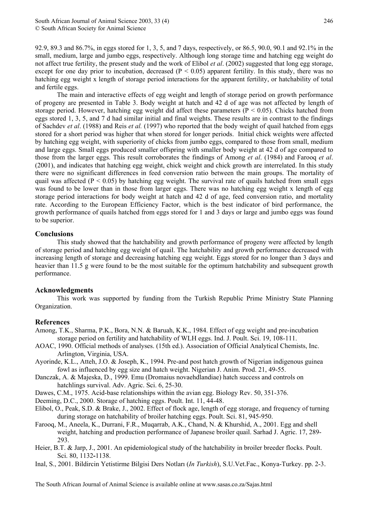92.9, 89.3 and 86.7%, in eggs stored for 1, 3, 5, and 7 days, respectively, or 86.5, 90.0, 90.1 and 92.1% in the small, medium, large and jumbo eggs, respectively. Although long storage time and hatching egg weight do not affect true fertility, the present study and the work of Elibol *et al*. (2002) suggested that long egg storage, except for one day prior to incubation, decreased ( $P < 0.05$ ) apparent fertility. In this study, there was no hatching egg weight x length of storage period interactions for the apparent fertility, or hatchability of total and fertile eggs.

The main and interactive effects of egg weight and length of storage period on growth performance of progeny are presented in Table 3. Body weight at hatch and 42 d of age was not affected by length of storage period. However, hatching egg weight did affect these parameters ( $P < 0.05$ ). Chicks hatched from eggs stored 1, 3, 5, and 7 d had similar initial and final weights. These results are in contrast to the findings of Sachdev *et al*. (1988) and Reis *et al.* (1997) who reported that the body weight of quail hatched from eggs stored for a short period was higher that when stored for longer periods. Initial chick weights were affected by hatching egg weight, with superiority of chicks from jumbo eggs, compared to those from small, medium and large eggs. Small eggs produced smaller offspring with smaller body weight at 42 d of age compared to those from the larger eggs. This result corroborates the findings of Among *et al*. (1984) and Farooq *et al*. (2001), and indicates that hatching egg weight, chick weight and chick growth are interrelated. In this study there were no significant differences in feed conversion ratio between the main groups. The mortality of quail was affected ( $P < 0.05$ ) by hatching egg weight. The survival rate of quails hatched from small eggs was found to be lower than in those from larger eggs. There was no hatching egg weight x length of egg storage period interactions for body weight at hatch and 42 d of age, feed conversion ratio, and mortality rate. According to the European Efficiency Factor, which is the best indicator of bird performance, the growth performance of quails hatched from eggs stored for 1 and 3 days or large and jumbo eggs was found to be superior.

### **Conclusions**

This study showed that the hatchability and growth performance of progeny were affected by length of storage period and hatching egg weight of quail. The hatchability and growth performance decreased with increasing length of storage and decreasing hatching egg weight. Eggs stored for no longer than 3 days and heavier than 11.5 g were found to be the most suitable for the optimum hatchability and subsequent growth performance.

### **Acknowledgments**

This work was supported by funding from the Turkish Republic Prime Ministry State Planning Organization.

### **References**

- Among, T.K., Sharma, P.K., Bora, N.N. & Baruah, K.K., 1984. Effect of egg weight and pre-incubation storage period on fertility and hatchability of WLH eggs. Ind. J. Poult. Sci. 19, 108-111.
- AOAC, 1990. Official methods of analyses. (15th ed.). Association of Official Analytical Chemists, Inc. Arlington, Virginia, USA.
- Ayorinde, K.L., Atteh, J.O. & Joseph, K., 1994. Pre-and post hatch growth of Nigerian indigenous guinea fowl as influenced by egg size and hatch weight. Nigerian J. Anim. Prod. 21, 49-55.
- Danczak, A. & Majeska, D., 1999. Emu (Dromaius novaehdlandiae) hatch success and controls on hatchlings survival. Adv. Agric. Sci. 6, 25-30.
- Dawes, C.M., 1975. Acid-base relationships within the avian egg. Biology Rev. 50, 351-376.
- Deeming, D.C., 2000. Storage of hatching eggs. Poult. Int. 11, 44-48.
- Elibol, O., Peak, S.D. & Brake, J., 2002. Effect of flock age, length of egg storage, and frequency of turning during storage on hatchability of broiler hatching eggs. Poult. Sci. 81, 945-950.
- Farooq, M., Aneela, K., Durrani, F.R., Muqarrab, A.K., Chand, N. & Khurshid, A., 2001. Egg and shell weight, hatching and production performance of Japanese broiler quail. Sarhad J. Agric. 17, 289- 293.
- Heier, B.T. & Jarp, J., 2001. An epidemiological study of the hatchability in broiler breeder flocks. Poult. Sci. 80, 1132**-**1138.
- Inal, S., 2001. Bildircin Yetistirme Bilgisi Ders Notları (*In Turkish*), S.U.Vet.Fac., Konya-Turkey. pp. 2-3.

The South African Journal of Animal Science is available online at www.sasas.co.za/Sajas.html